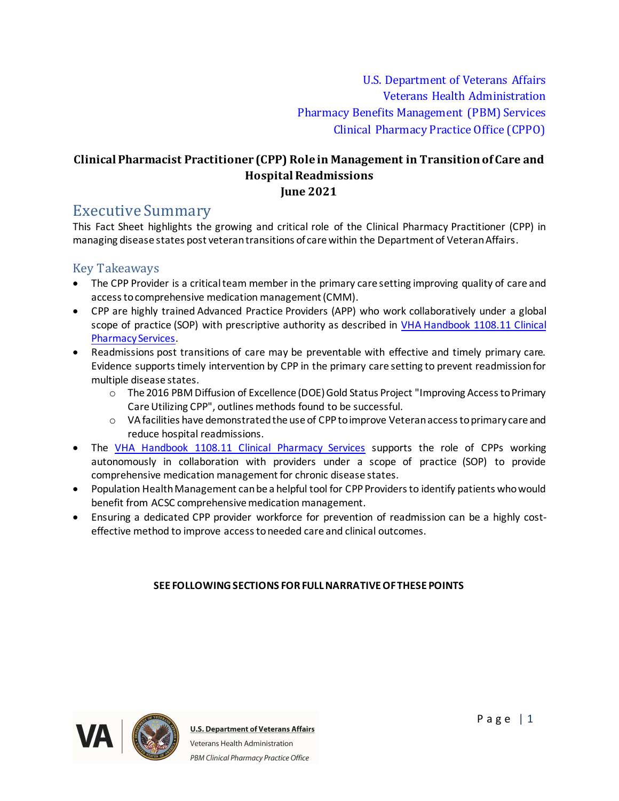U.S. Department of Veterans Affairs Veterans Health Administration Pharmacy Benefits Management (PBM) Services Clinical Pharmacy Practice Office (CPPO)

### **Clinical Pharmacist Practitioner (CPP) Role in Management in Transition of Care and Hospital Readmissions June 2021**

# Executive Summary

This Fact Sheet highlights the growing and critical role of the Clinical Pharmacy Practitioner (CPP) in managing disease states post veteran transitions of care within the Department of Veteran Affairs.

### Key Takeaways

- The CPP Provider is a critical team member in the primary care setting improving quality of care and access to comprehensive medication management (CMM).
- · CPP are highly trained Advanced Practice Providers (APP) who work collaboratively under a global scope of practice (SOP) with prescriptive authority as described in [VHA Handbook 1108.11 Clinical](https://www.va.gov/vhapublications/ViewPublication.asp?pub_ID=3120)  [Pharmacy Services](https://www.va.gov/vhapublications/ViewPublication.asp?pub_ID=3120).
- · Readmissions post transitions of care may be preventable with effective and timely primary care. Evidence supports timely intervention by CPP in the primary care setting to prevent readmission for multiple disease states.
	- o The 2016 PBM Diffusion of Excellence (DOE) Gold Status Project "Improving Access to Primary Care Utilizing CPP", outlines methods found to be successful.
	- o VA facilities have demonstrated the use of CPPto improve Veteran access to primary care and reduce hospital readmissions.
- The [VHA Handbook 1108.11 Clinical Pharmacy Services](https://www.va.gov/vhapublications/ViewPublication.asp?pub_ID=3120) supports the role of CPPs working autonomously in collaboration with providers under a scope of practice (SOP) to provide comprehensive medication management for chronic disease states.
- · Population Health Management can be a helpful tool for CPPProvidersto identify patients who would benefit from ACSC comprehensive medication management.
- · Ensuring a dedicated CPP provider workforce for prevention of readmission can be a highly costeffective method to improve access to needed care and clinical outcomes.

#### **SEE FOLLOWING SECTIONS FOR FULL NARRATIVE OF THESE POINTS**

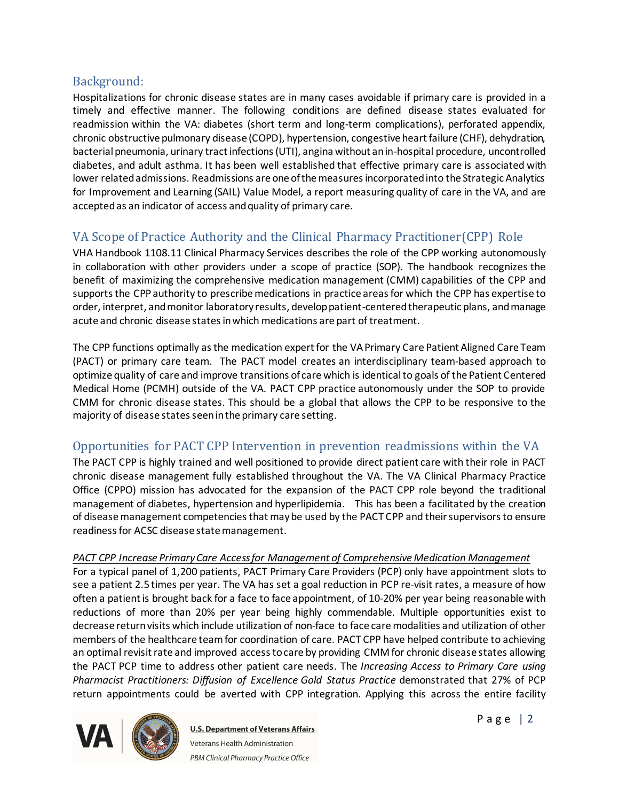## Background:

Hospitalizations for chronic disease states are in many cases avoidable if primary care is provided in a timely and effective manner. The following conditions are defined disease states evaluated for readmission within the VA: diabetes (short term and long-term complications), perforated appendix, chronic obstructive pulmonary disease (COPD), hypertension, congestive heart failure (CHF), dehydration, bacterial pneumonia, urinary tract infections (UTI), angina without an in-hospital procedure, uncontrolled diabetes, and adult asthma. It has been well established that effective primary care is associated with lower related admissions. Readmissions are one of the measures incorporated into the Strategic Analytics for Improvement and Learning (SAIL) Value Model, a report measuring quality of care in the VA, and are accepted as an indicator of access and quality of primary care.

# VA Scope of Practice Authority and the Clinical Pharmacy Practitioner(CPP) Role

VHA Handbook 1108.11 Clinical Pharmacy Services describes the role of the CPP working autonomously in collaboration with other providers under a scope of practice (SOP). The handbook recognizes the benefit of maximizing the comprehensive medication management (CMM) capabilities of the CPP and supports the CPPauthority to prescribe medications in practice areas for which the CPP has expertise to order, interpret, and monitor laboratory results, develop patient-centered therapeutic plans, and manage acute and chronic disease states in which medications are part of treatment.

The CPP functions optimally as the medication expert for the VA Primary Care Patient Aligned Care Team (PACT) or primary care team. The PACT model creates an interdisciplinary team-based approach to optimize quality of care and improve transitions of care which is identical to goals of the Patient Centered Medical Home (PCMH) outside of the VA. PACT CPP practice autonomously under the SOP to provide CMM for chronic disease states. This should be a global that allows the CPP to be responsive to the majority of disease states seen in the primary care setting.

## Opportunities for PACT CPP Intervention in prevention readmissions within the VA

The PACT CPP is highly trained and well positioned to provide direct patient care with their role in PACT chronic disease management fully established throughout the VA. The VA Clinical Pharmacy Practice Office (CPPO) mission has advocated for the expansion of the PACT CPP role beyond the traditional management of diabetes, hypertension and hyperlipidemia. This has been a facilitated by the creation of disease management competencies that may be used by the PACT CPP and their supervisors to ensure readinessfor ACSC disease state management.

#### *PACT CPP Increase Primary Care Access for Management of Comprehensive Medication Management*

For a typical panel of 1,200 patients, PACT Primary Care Providers (PCP) only have appointment slots to see a patient 2.5 times per year. The VA has set a goal reduction in PCP re-visit rates, a measure of how often a patient is brought back for a face to face appointment, of 10-20% per year being reasonable with reductions of more than 20% per year being highly commendable. Multiple opportunities exist to decrease return visits which include utilization of non-face to face care modalities and utilization of other members of the healthcare team for coordination of care. PACT CPP have helped contribute to achieving an optimal revisit rate and improved access to care by providing CMM for chronic disease states allowing the PACT PCP time to address other patient care needs. The *Increasing Access to Primary Care using Pharmacist Practitioners: Diffusion of Excellence Gold Status Practice* demonstrated that 27% of PCP return appointments could be averted with CPP integration. Applying this across the entire facility

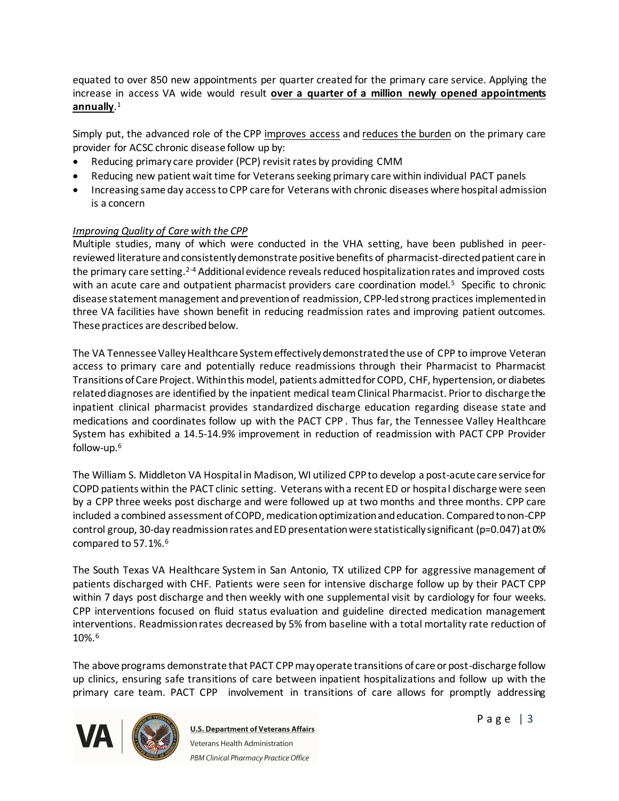equated to over 850 new appointments per quarter created for the primary care service. Applying the increase in access VA wide would result **over a quarter of a million newly opened appointments annually**. 1

Simply put, the advanced role of the CPP improves access and reduces the burden on the primary care provider for ACSC chronic disease follow up by:

- Reducing primary care provider (PCP) revisit rates by providing CMM
- · Reducing new patient wait time for Veterans seeking primary care within individual PACT panels
- · Increasing same day access to CPP care for Veterans with chronic diseases where hospital admission is a concern

#### *Improving Quality of Care with the CPP*

Multiple studies, many of which were conducted in the VHA setting, have been published in peerreviewed literature and consistently demonstrate positive benefits of pharmacist-directed patient care in the primary care setting.2-4 Additional evidence reveals reduced hospitalization rates and improved costs with an acute care and outpatient pharmacist providers care coordination model.<sup>5</sup> Specific to chronic disease statement management and prevention of readmission, CPP-led strong practicesimplemented in three VA facilities have shown benefit in reducing readmission rates and improving patient outcomes. These practices are described below.

The VA Tennessee Valley Healthcare System effectively demonstrated the use of CPP to improve Veteran access to primary care and potentially reduce readmissions through their Pharmacist to Pharmacist Transitions of Care Project. Within this model, patients admitted for COPD, CHF, hypertension, or diabetes related diagnoses are identified by the inpatient medical team Clinical Pharmacist. Prior to discharge the inpatient clinical pharmacist provides standardized discharge education regarding disease state and medications and coordinates follow up with the PACT CPP . Thus far, the Tennessee Valley Healthcare System has exhibited a 14.5-14.9% improvement in reduction of readmission with PACT CPP Provider follow-up.<sup>6</sup>

The William S. Middleton VA Hospital in Madison, WI utilized CPPto develop a post-acute care service for COPD patients within the PACT clinic setting. Veterans with a recent ED or hospital discharge were seen by a CPP three weeks post discharge and were followed up at two months and three months. CPP care included a combined assessment of COPD, medication optimization and education. Compared to non-CPP control group, 30-day readmission rates and ED presentation were statistically significant (p=0.047) at 0% compared to 57.1%.<sup>6</sup>

The South Texas VA Healthcare System in San Antonio, TX utilized CPP for aggressive management of patients discharged with CHF. Patients were seen for intensive discharge follow up by their PACT CPP within 7 days post discharge and then weekly with one supplemental visit by cardiology for four weeks. CPP interventions focused on fluid status evaluation and guideline directed medication management interventions. Readmission rates decreased by 5% from baseline with a total mortality rate reduction of 10%.<sup>6</sup>

The above programs demonstrate that PACT CPPmay operate transitions of care or post-discharge follow up clinics, ensuring safe transitions of care between inpatient hospitalizations and follow up with the primary care team. PACT CPP involvement in transitions of care allows for promptly addressing

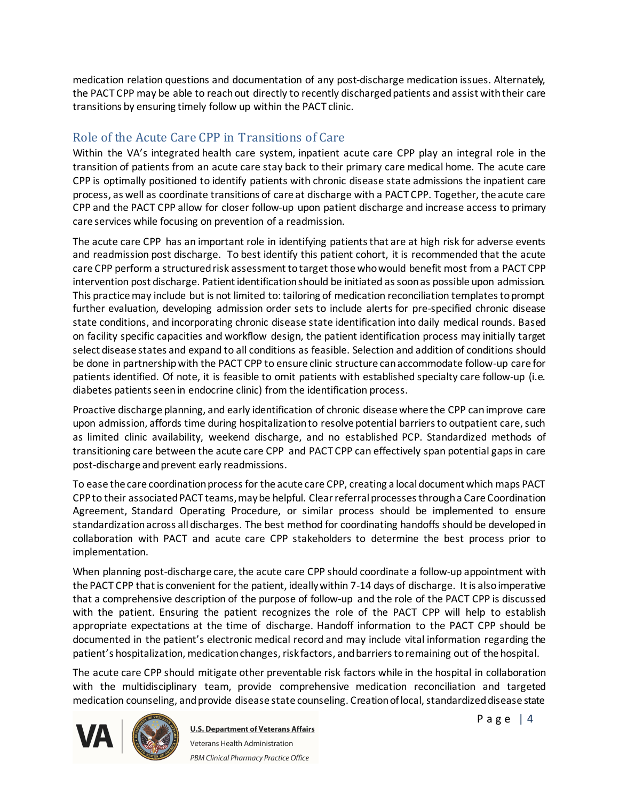medication relation questions and documentation of any post-discharge medication issues. Alternately, the PACT CPP may be able to reach out directly to recently discharged patients and assist with their care transitions by ensuring timely follow up within the PACT clinic.

## Role of the Acute Care CPP in Transitions of Care

Within the VA's integrated health care system, inpatient acute care CPP play an integral role in the transition of patients from an acute care stay back to their primary care medical home. The acute care CPP is optimally positioned to identify patients with chronic disease state admissions the inpatient care process, as well as coordinate transitions of care at discharge with a PACT CPP. Together, the acute care CPP and the PACT CPP allow for closer follow-up upon patient discharge and increase access to primary care services while focusing on prevention of a readmission.

The acute care CPP has an important role in identifying patients that are at high risk for adverse events and readmission post discharge. To best identify this patient cohort, it is recommended that the acute care CPP perform a structured risk assessment to target those who would benefit most from a PACT CPP intervention post discharge. Patient identification should be initiated as soon as possible upon admission. This practicemay include but is not limited to: tailoring of medication reconciliation templates to prompt further evaluation, developing admission order sets to include alerts for pre-specified chronic disease state conditions, and incorporating chronic disease state identification into daily medical rounds. Based on facility specific capacities and workflow design, the patient identification process may initially target select disease states and expand to all conditions as feasible. Selection and addition of conditions should be done in partnership with the PACT CPP to ensure clinic structure can accommodate follow-up care for patients identified. Of note, it is feasible to omit patients with established specialty care follow-up (i.e. diabetes patients seen in endocrine clinic) from the identification process.

Proactive discharge planning, and early identification of chronic disease where the CPP can improve care upon admission, affords time during hospitalization to resolve potential barriers to outpatient care, such as limited clinic availability, weekend discharge, and no established PCP. Standardized methods of transitioning care between the acute care CPP and PACT CPP can effectively span potential gaps in care post-discharge and prevent early readmissions.

To ease the care coordination process for the acute care CPP, creating a local document which maps PACT CPPto their associated PACT teams, may be helpful. Clear referral processes through a Care Coordination Agreement, Standard Operating Procedure, or similar process should be implemented to ensure standardization across all discharges. The best method for coordinating handoffs should be developed in collaboration with PACT and acute care CPP stakeholders to determine the best process prior to implementation.

When planning post-discharge care, the acute care CPP should coordinate a follow-up appointment with the PACT CPP that is convenient for the patient, ideally within 7-14 days of discharge. It is also imperative that a comprehensive description of the purpose of follow-up and the role of the PACT CPP is discussed with the patient. Ensuring the patient recognizes the role of the PACT CPP will help to establish appropriate expectations at the time of discharge. Handoff information to the PACT CPP should be documented in the patient's electronic medical record and may include vital information regarding the patient's hospitalization, medication changes, risk factors, and barriers to remaining out of the hospital.

The acute care CPP should mitigate other preventable risk factors while in the hospital in collaboration with the multidisciplinary team, provide comprehensive medication reconciliation and targeted medication counseling, and provide disease state counseling. Creation of local, standardized disease state

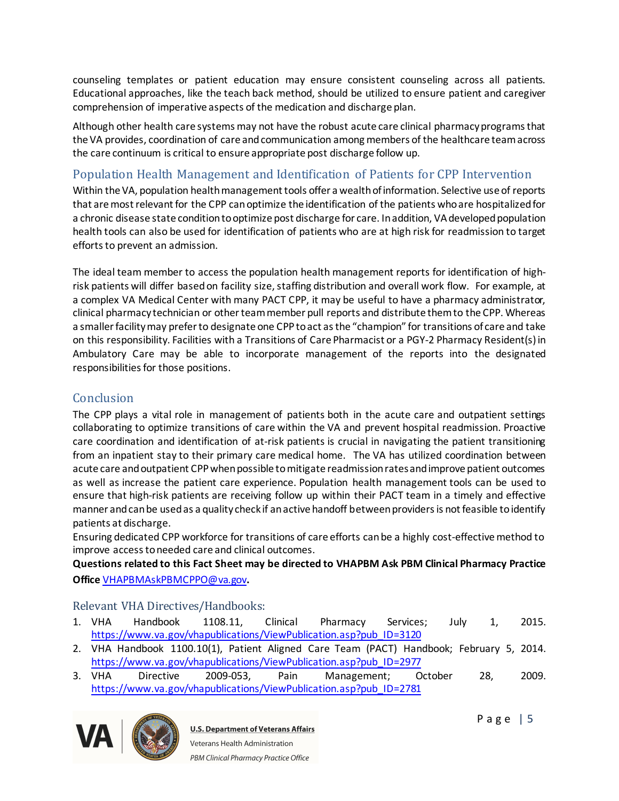counseling templates or patient education may ensure consistent counseling across all patients. Educational approaches, like the teach back method, should be utilized to ensure patient and caregiver comprehension of imperative aspects of the medication and discharge plan.

Although other health care systems may not have the robust acute care clinical pharmacy programs that the VA provides, coordination of care and communication among members of the healthcare team across the care continuum is critical to ensure appropriate post discharge follow up.

# Population Health Management and Identification of Patients for CPP Intervention

Within the VA, population health management tools offer a wealth of information. Selective use of reports that are most relevant for the CPP can optimize the identification of the patients who are hospitalized for a chronic disease state conditionto optimize post discharge for care. In addition, VA developed population health tools can also be used for identification of patients who are at high risk for readmission to target efforts to prevent an admission.

The ideal team member to access the population health management reports for identification of highrisk patients will differ based on facility size, staffing distribution and overall work flow. For example, at a complex VA Medical Center with many PACT CPP, it may be useful to have a pharmacy administrator, clinical pharmacy technician or other team member pull reports and distribute them to the CPP. Whereas a smaller facility may prefer to designate one CPPto act as the "champion" for transitions of care and take on this responsibility. Facilities with a Transitions of Care Pharmacist or a PGY-2 Pharmacy Resident(s)in Ambulatory Care may be able to incorporate management of the reports into the designated responsibilities for those positions.

### **Conclusion**

The CPP plays a vital role in management of patients both in the acute care and outpatient settings collaborating to optimize transitions of care within the VA and prevent hospital readmission. Proactive care coordination and identification of at-risk patients is crucial in navigating the patient transitioning from an inpatient stay to their primary care medical home. The VA has utilized coordination between acute care and outpatient CPPwhen possible to mitigate readmission rates and improve patient outcomes as well as increase the patient care experience. Population health management tools can be used to ensure that high-risk patients are receiving follow up within their PACT team in a timely and effective manner and can be used as a quality check if an active handoff between providers is not feasible to identify patients at discharge.

Ensuring dedicated CPP workforce for transitions of care efforts can be a highly cost-effective method to improve access to needed care and clinical outcomes.

**Questions related to this Fact Sheet may be directed to VHAPBM Ask PBM Clinical Pharmacy Practice Office** [VHAPBMAskPBMCPPO@va.gov](mailto:VHAPBMAskPBMCPPO@va.gov)**.**

#### Relevant VHA Directives/Handbooks:

- 1. VHA Handbook 1108.11, Clinical Pharmacy Services; July 1, 2015. [https://www.va.gov/vhapublications/ViewPublication.asp?pub\\_ID=3120](https://www.va.gov/vhapublications/ViewPublication.asp?pub_ID=3120)
- 2. VHA Handbook 1100.10(1), Patient Aligned Care Team (PACT) Handbook; February 5, 2014. [https://www.va.gov/vhapublications/ViewPublication.asp?pub\\_ID=2977](https://www.va.gov/vhapublications/ViewPublication.asp?pub_ID=2977)
- 3. VHA Directive 2009-053, Pain Management; October 28, 2009. [https://www.va.gov/vhapublications/ViewPublication.asp?pub\\_ID=2781](https://www.va.gov/vhapublications/ViewPublication.asp?pub_ID=2781)